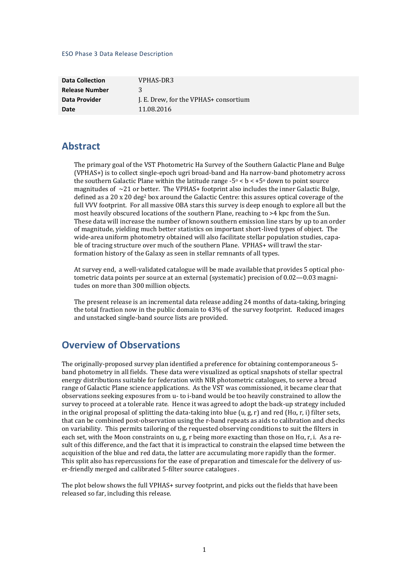#### ESO Phase 3 Data Release Description

| <b>Data Collection</b> | VPHAS-DR3                             |
|------------------------|---------------------------------------|
| <b>Release Number</b>  | 3                                     |
| Data Provider          | J. E. Drew, for the VPHAS+ consortium |
| Date                   | 11.08.2016                            |

### **Abstract**

The primary goal of the VST Photometric Ha Survey of the Southern Galactic Plane and Bulge (VPHAS+) is to collect single-epoch ugri broad-band and Ha narrow-band photometry across the southern Galactic Plane within the latitude range  $-5^{\circ} < b < +5^{\circ}$  down to point source magnitudes of  $\sim$ 21 or better. The VPHAS+ footprint also includes the inner Galactic Bulge, defined as a 20 x 20 deg<sup>2</sup> box around the Galactic Centre: this assures optical coverage of the full VVV footprint. For all massive OBA stars this survey is deep enough to explore all but the most heavily obscured locations of the southern Plane, reaching to >4 kpc from the Sun. These data will increase the number of known southern emission line stars by up to an order of magnitude, yielding much better statistics on important short-lived types of object. The wide-area uniform photometry obtained will also facilitate stellar population studies, capable of tracing structure over much of the southern Plane. VPHAS+ will trawl the starformation history of the Galaxy as seen in stellar remnants of all types.

At survey end, a well-validated catalogue will be made available that provides 5 optical photometric data points per source at an external (systematic) precision of 0.02—0.03 magnitudes on more than 300 million objects.

The present release is an incremental data release adding 24 months of data-taking, bringing the total fraction now in the public domain to 43% of the survey footprint. Reduced images and unstacked single-band source lists are provided.

## **Overview of Observations**

The originally-proposed survey plan identified a preference for obtaining contemporaneous 5 band photometry in all fields. These data were visualized as optical snapshots of stellar spectral energy distributions suitable for federation with NIR photometric catalogues, to serve a broad range of Galactic Plane science applications. As the VST was commissioned, it became clear that observations seeking exposures from u- to i-band would be too heavily constrained to allow the survey to proceed at a tolerable rate. Hence it was agreed to adopt the back-up strategy included in the original proposal of splitting the data-taking into blue (u, g, r) and red (H $\alpha$ , r, i) filter sets, that can be combined post-observation using the r-band repeats as aids to calibration and checks on variability. This permits tailoring of the requested observing conditions to suit the filters in each set, with the Moon constraints on u, g, r being more exacting than those on H $\alpha$ , r, i. As a result of this difference, and the fact that it is impractical to constrain the elapsed time between the acquisition of the blue and red data, the latter are accumulating more rapidly than the former. This split also has repercussions for the ease of preparation and timescale for the delivery of user-friendly merged and calibrated 5-filter source catalogues .

The plot below shows the full VPHAS+ survey footprint, and picks out the fields that have been released so far, including this release.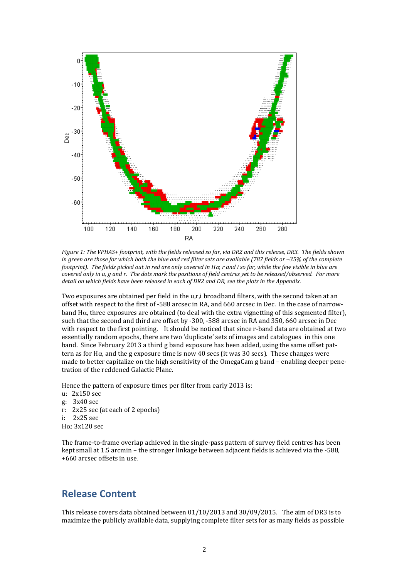

*Figure 1: The VPHAS+ footprint, with the fields released so far, via DR2 and this release, DR3. The fields shown in green are those for which both the blue and red filter sets are available (787 fields or ~35% of the complete footprint). The fields picked out in red are only covered in H* $\alpha$ *, r and i so far, while the few visible in blue are covered only in u, g and r. The dots mark the positions of field centres yet to be released/observed. For more detail on which fields have been released in each of DR2 and DR, see the plots in the Appendix.*

Two exposures are obtained per field in the u,r,i broadband filters, with the second taken at an offset with respect to the first of -588 arcsec in RA, and 660 arcsec in Dec. In the case of narrowband  $H\alpha$ , three exposures are obtained (to deal with the extra vignetting of this segmented filter), such that the second and third are offset by -300, -588 arcsec in RA and 350, 660 arcsec in Dec with respect to the first pointing. It should be noticed that since r-band data are obtained at two essentially random epochs, there are two 'duplicate' sets of images and catalogues in this one band. Since February 2013 a third g band exposure has been added, using the same offset pattern as for H $\alpha$ , and the g exposure time is now 40 secs (it was 30 secs). These changes were made to better capitalize on the high sensitivity of the OmegaCam g band – enabling deeper penetration of the reddened Galactic Plane.

Hence the pattern of exposure times per filter from early 2013 is:

- u: 2x150 sec
- g: 3x40 sec r: 2x25 sec (at each of 2 epochs) i: 2x25 sec
- $H\alpha$ : 3x120 sec

The frame-to-frame overlap achieved in the single-pass pattern of survey field centres has been kept small at 1.5 arcmin – the stronger linkage between adjacent fields is achieved via the -588, +660 arcsec offsets in use.

# **Release Content**

This release covers data obtained between 01/10/2013 and 30/09/2015. The aim of DR3 is to maximize the publicly available data, supplying complete filter sets for as many fields as possible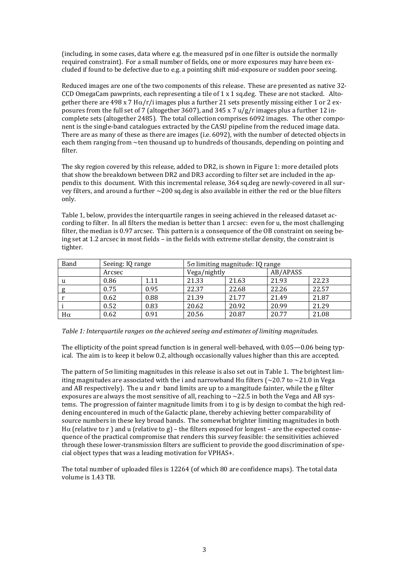(including, in some cases, data where e.g. the measured psf in one filter is outside the normally required constraint). For a small number of fields, one or more exposures may have been excluded if found to be defective due to e.g. a pointing shift mid-exposure or sudden poor seeing.

Reduced images are one of the two components of this release. These are presented as native 32- CCD OmegaCam pawprints, each representing a tile of 1 x 1 sq.deg. These are not stacked. Altogether there are 498 x 7 H $\alpha$ /r/i images plus a further 21 sets presently missing either 1 or 2 exposures from the full set of 7 (altogether 3607), and 345 x 7  $u/g/r$  images plus a further 12 incomplete sets (altogether 2485). The total collection comprises 6092 images. The other component is the single-band catalogues extracted by the CASU pipeline from the reduced image data. There are as many of these as there are images (i.e. 6092), with the number of detected objects in each them ranging from ~ten thousand up to hundreds of thousands, depending on pointing and filter.

The sky region covered by this release, added to DR2, is shown in Figure 1: more detailed plots that show the breakdown between DR2 and DR3 according to filter set are included in the appendix to this document. With this incremental release, 364 sq.deg are newly-covered in all survey filters, and around a further ~200 sq.deg is also available in either the red or the blue filters only.

Table 1, below, provides the interquartile ranges in seeing achieved in the released dataset according to filter. In all filters the median is better than 1 arcsec: even for u, the most challenging filter, the median is 0.97 arcsec. This pattern is a consequence of the OB constraint on seeing being set at 1.2 arcsec in most fields – in the fields with extreme stellar density, the constraint is tighter.

| Band      | Seeing: IQ range |      | $5\sigma$ limiting magnitude: IQ range |       |          |       |
|-----------|------------------|------|----------------------------------------|-------|----------|-------|
|           | Arcsec           |      | Vega/nightly                           |       | AB/APASS |       |
|           | 0.86             | 1.11 | 21.33                                  | 21.63 | 21.93    | 22.23 |
|           | 0.75             | 0.95 | 22.37                                  | 22.68 | 22.26    | 22.57 |
|           | 0.62             | 0.88 | 21.39                                  | 21.77 | 21.49    | 21.87 |
|           | 0.52             | 0.83 | 20.62                                  | 20.92 | 20.99    | 21.29 |
| $H\alpha$ | 0.62             | 0.91 | 20.56                                  | 20.87 | 20.77    | 21.08 |

#### *Table 1: Interquartile ranges on the achieved seeing and estimates of limiting magnitudes.*

The ellipticity of the point spread function is in general well-behaved, with 0.05—0.06 being typical. The aim is to keep it below 0.2, although occasionally values higher than this are accepted.

The pattern of  $5\sigma$  limiting magnitudes in this release is also set out in Table 1. The brightest limiting magnitudes are associated with the i and narrowband H $\alpha$  filters ( $\sim$ 20.7 to  $\sim$ 21.0 in Vega and AB respectively). The u and r band limits are up to a mangitude fainter, while the g filter exposures are always the most sensitive of all, reaching to  $\sim$  22.5 in both the Vega and AB systems. The progression of fainter magnitude limits from i to g is by design to combat the high reddening encountered in much of the Galactic plane, thereby achieving better comparability of source numbers in these key broad bands. The somewhat brighter limiting magnitudes in both H $\alpha$  (relative to r ) and  $\alpha$  (relative to g) – the filters exposed for longest – are the expected consequence of the practical compromise that renders this survey feasible: the sensitivities achieved through these lower-transmission filters are sufficient to provide the good discrimination of special object types that was a leading motivation for VPHAS+.

The total number of uploaded files is 12264 (of which 80 are confidence maps). The total data volume is 1.43 TB.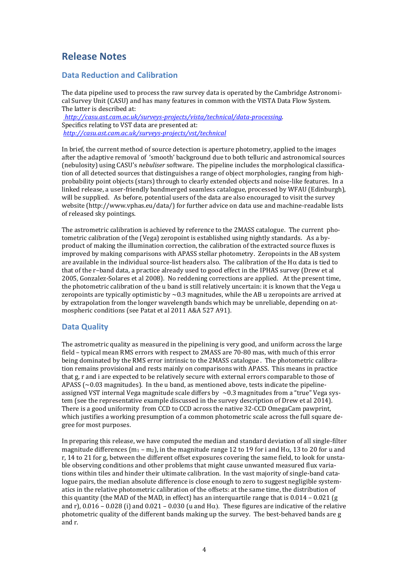# **Release Notes**

### **Data Reduction and Calibration**

The data pipeline used to process the raw survey data is operated by the Cambridge Astronomical Survey Unit (CASU) and has many features in common with the VISTA Data Flow System. The latter is described at: *[http://casu.ast.cam.ac.uk/surveys-projects/vista/technical/data-processing.](http://casu.ast.cam.ac.uk/surveys-projects/vista/technical/data-processing)*  Specifics relating to VST data are presented at:

*<http://casu.ast.cam.ac.uk/surveys-projects/vst/technical>*

In brief, the current method of source detection is aperture photometry, applied to the images after the adaptive removal of 'smooth' background due to both telluric and astronomical sources (nebulosity) using CASU's *nebuliser* software. The pipeline includes the morphological classification of all detected sources that distinguishes a range of object morphologies, ranging from highprobability point objects (stars) through to clearly extended objects and noise-like features. In a linked release, a user-friendly bandmerged seamless catalogue, processed by WFAU (Edinburgh), will be supplied. As before, potential users of the data are also encouraged to visit the survey website (http://www.vphas.eu/data/) for further advice on data use and machine-readable lists of released sky pointings.

The astrometric calibration is achieved by reference to the 2MASS catalogue. The current photometric calibration of the (Vega) zeropoint is established using nightly standards. As a byproduct of making the illumination correction, the calibration of the extracted source fluxes is improved by making comparisons with APASS stellar photometry. Zeropoints in the AB system are available in the individual source-list headers also. The calibration of the H $\alpha$  data is tied to that of the r–band data, a practice already used to good effect in the IPHAS survey (Drew et al 2005, Gonzalez-Solares et al 2008). No reddening corrections are applied. At the present time, the photometric calibration of the u band is still relatively uncertain: it is known that the Vega u zeropoints are typically optimistic by  $\sim$  0.3 magnitudes, while the AB u zeropoints are arrived at by extrapolation from the longer wavelength bands which may be unreliable, depending on atmospheric conditions (see Patat et al 2011 A&A 527 A91).

### **Data Quality**

The astrometric quality as measured in the pipelining is very good, and uniform across the large field – typical mean RMS errors with respect to 2MASS are 70-80 mas, with much of this error being dominated by the RMS error intrinsic to the 2MASS catalogue . The photometric calibration remains provisional and rests mainly on comparisons with APASS. This means in practice that g, r and i are expected to be relatively secure with external errors comparable to those of APASS  $\sim$  0.03 magnitudes). In the u band, as mentioned above, tests indicate the pipelineassigned VST internal Vega magnitude scale differs by  $\sim$  0.3 magnitudes from a "true" Vega system (see the representative example discussed in the survey description of Drew et al 2014). There is a good uniformity from CCD to CCD across the native 32-CCD OmegaCam pawprint, which justifies a working presumption of a common photometric scale across the full square degree for most purposes.

In preparing this release, we have computed the median and standard deviation of all single-filter magnitude differences  $(m_1 - m_2)$ , in the magnitude range 12 to 19 for i and H $\alpha$ , 13 to 20 for u and r, 14 to 21 for g, between the different offset exposures covering the same field, to look for unstable observing conditions and other problems that might cause unwanted measured flux variations within tiles and hinder their ultimate calibration. In the vast majority of single-band catalogue pairs, the median absolute difference is close enough to zero to suggest negligible systematics in the relative photometric calibration of the offsets: at the same time, the distribution of this quantity (the MAD of the MAD, in effect) has an interquartile range that is  $0.014 - 0.021$  (g and r), 0.016 – 0.028 (i) and 0.021 – 0.030 (u and  $H\alpha$ ). These figures are indicative of the relative photometric quality of the different bands making up the survey. The best-behaved bands are g and r.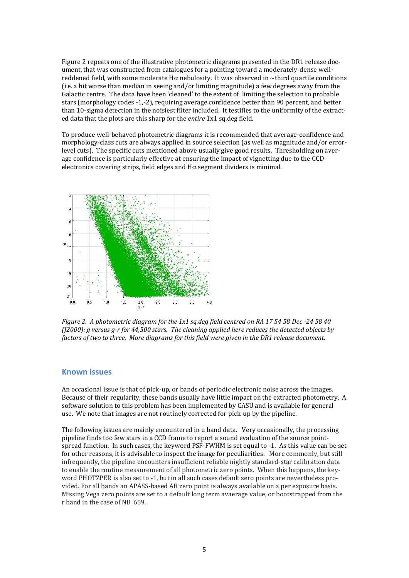Figure 2 repeats one of the illustrative photometric diagrams presented in the DR1 release document, that was constructed from catalogues for a pointing toward a moderately-dense wellreddened field, with some moderate H $\alpha$  nebulosity. It was observed in ~third quartile conditions (i.e. a bit worse than median in seeing and/or limiting magnitude) a few degrees away from the Galactic centre. The data have been 'cleaned' to the extent of limiting the selection to probable stars (morphology codes -1,-2), requiring average confidence better than 90 percent, and better than 10-sigma detection in the noisiest filter included. It testifies to the uniformity of the extracted data that the plots are this sharp for the *entire* 1x1 sq.deg field.

To produce well-behaved photometric diagrams it is recommended that average-confidence and morphology-class cuts are always applied in source selection (as well as magnitude and/or errorlevel cuts). The specific cuts mentioned above usually give good results. Thresholding on average confidence is particularly effective at ensuring the impact of vignetting due to the CCDelectronics covering strips, field edges and  $H\alpha$  segment dividers is minimal.



*Figure 2. A photometric diagram for the 1x1 sq.deg field centred on RA 17 54 58 Dec -24 58 40 (J2000): g versus g-r for 44,500 stars. The cleaning applied here reduces the detected objects by factors of two to three. More diagrams for this field were given in the DR1 release document.*

### **Known issues**

An occasional issue is that of pick-up, or bands of periodic electronic noise across the images. Because of their regularity, these bands usually have little impact on the extracted photometry. A software solution to this problem has been implemented by CASU and is available for general use. We note that images are not routinely corrected for pick-up by the pipeline.

The following issues are mainly encountered in u band data. Very occasionally, the processing pipeline finds too few stars in a CCD frame to report a sound evaluation of the source pointspread function. In such cases, the keyword PSF-FWHM is set equal to -1. As this value can be set for other reasons, it is advisable to inspect the image for peculiarities. More commonly, but still infrequently, the pipeline encounters insufficient reliable nightly standard-star calibration data to enable the routine measurement of all photometric zero points. When this happens, the keyword PHOTZPER is also set to -1, but in all such cases default zero points are nevertheless provided. For all bands an APASS-based AB zero point is always available on a per exposure basis. Missing Vega zero points are set to a default long term avaerage value, or bootstrapped from the r band in the case of NB\_659.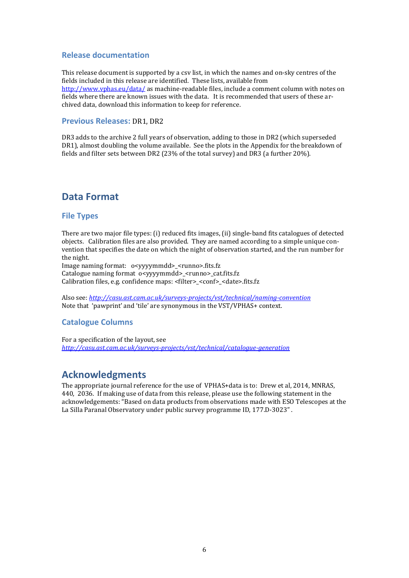#### **Release documentation**

This release document is supported by a csv list, in which the names and on-sky centres of the fields included in this release are identified. These lists, available from <http://www.vphas.eu/data/> as machine-readable files, include a comment column with notes on fields where there are known issues with the data. It is recommended that users of these archived data, download this information to keep for reference.

#### **Previous Releases:** DR1, DR2

DR3 adds to the archive 2 full years of observation, adding to those in DR2 (which superseded DR1), almost doubling the volume available. See the plots in the Appendix for the breakdown of fields and filter sets between DR2 (23% of the total survey) and DR3 (a further 20%).

## **Data Format**

#### **File Types**

There are two major file types: (i) reduced fits images, (ii) single-band fits catalogues of detected objects. Calibration files are also provided. They are named according to a simple unique convention that specifies the date on which the night of observation started, and the run number for the night.

Image naming format: o<yyyymmdd>\_<runno>.fits.fz Catalogue naming format o<yyyymmdd>\_<runno>\_cat.fits.fz Calibration files, e.g. confidence maps: <filter>\_<conf>\_<date>.fits.fz

Also see: *<http://casu.ast.cam.ac.uk/surveys-projects/vst/technical/naming-convention>* Note that 'pawprint' and 'tile' are synonymous in the VST/VPHAS+ context.

#### **Catalogue Columns**

For a specification of the layout, see *<http://casu.ast.cam.ac.uk/surveys-projects/vst/technical/catalogue-generation>*

### **Acknowledgments**

The appropriate journal reference for the use of VPHAS+data is to: Drew et al, 2014, MNRAS, 440, 2036. If making use of data from this release, please use the following statement in the acknowledgements: "Based on data products from observations made with ESO Telescopes at the La Silla Paranal Observatory under public survey programme ID, 177.D-3023" .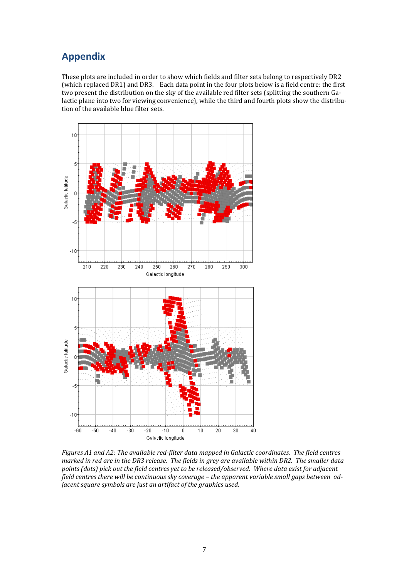# **Appendix**

These plots are included in order to show which fields and filter sets belong to respectively DR2 (which replaced DR1) and DR3. Each data point in the four plots below is a field centre: the first two present the distribution on the sky of the available red filter sets (splitting the southern Galactic plane into two for viewing convenience), while the third and fourth plots show the distribution of the available blue filter sets.



*Figures A1 and A2: The available red-filter data mapped in Galactic coordinates. The field centres marked in red are in the DR3 release. The fields in grey are available within DR2. The smaller data points (dots) pick out the field centres yet to be released/observed. Where data exist for adjacent*  field centres there will be continuous sky coverage - the apparent variable small gaps between ad*jacent square symbols are just an artifact of the graphics used.*